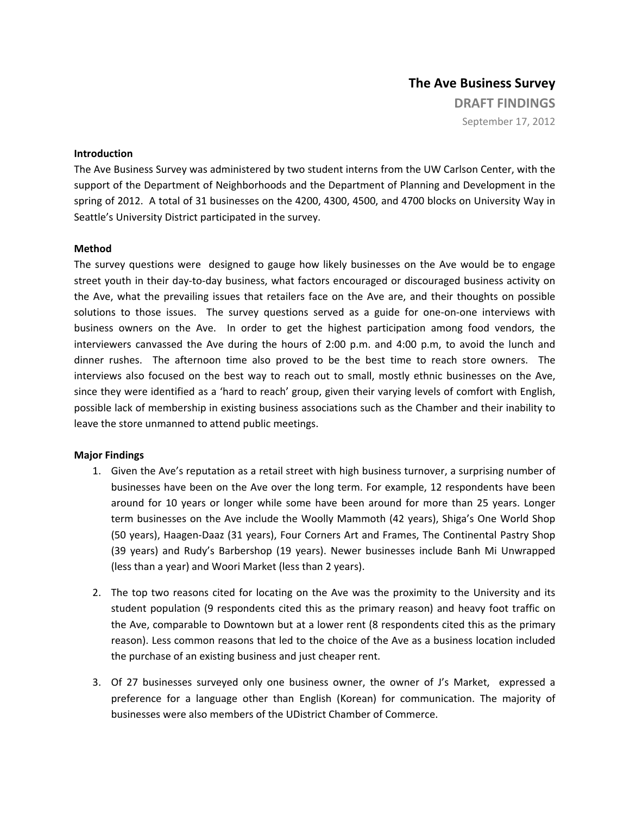## **The Ave Business Survey DRAFT FINDINGS** September 17, 2012

## **Introduction**

The Ave Business Survey was administered by two student interns from the UW Carlson Center, with the support of the Department of Neighborhoods and the Department of Planning and Development in the spring of 2012. A total of 31 businesses on the 4200, 4300, 4500, and 4700 blocks on University Way in Seattle's University District participated in the survey.

## **Method**

The survey questions were designed to gauge how likely businesses on the Ave would be to engage street youth in their day-to-day business, what factors encouraged or discouraged business activity on the Ave, what the prevailing issues that retailers face on the Ave are, and their thoughts on possible solutions to those issues. The survey questions served as a guide for one-on-one interviews with business owners on the Ave. In order to get the highest participation among food vendors, the interviewers canvassed the Ave during the hours of 2:00 p.m. and 4:00 p.m, to avoid the lunch and dinner rushes. The afternoon time also proved to be the best time to reach store owners. The interviews also focused on the best way to reach out to small, mostly ethnic businesses on the Ave, since they were identified as a 'hard to reach' group, given their varying levels of comfort with English, possible lack of membership in existing business associations such as the Chamber and their inability to leave the store unmanned to attend public meetings.

## **Major Findings**

- 1. Given the Ave's reputation as a retail street with high business turnover, a surprising number of businesses have been on the Ave over the long term. For example, 12 respondents have been around for 10 years or longer while some have been around for more than 25 years. Longer term businesses on the Ave include the Woolly Mammoth (42 years), Shiga's One World Shop (50 years), Haagen‐Daaz (31 years), Four Corners Art and Frames, The Continental Pastry Shop (39 years) and Rudy's Barbershop (19 years). Newer businesses include Banh Mi Unwrapped (less than a year) and Woori Market (less than 2 years).
- 2. The top two reasons cited for locating on the Ave was the proximity to the University and its student population (9 respondents cited this as the primary reason) and heavy foot traffic on the Ave, comparable to Downtown but at a lower rent (8 respondents cited this as the primary reason). Less common reasons that led to the choice of the Ave as a business location included the purchase of an existing business and just cheaper rent.
- 3. Of 27 businesses surveyed only one business owner, the owner of J's Market, expressed a preference for a language other than English (Korean) for communication. The majority of businesses were also members of the UDistrict Chamber of Commerce.